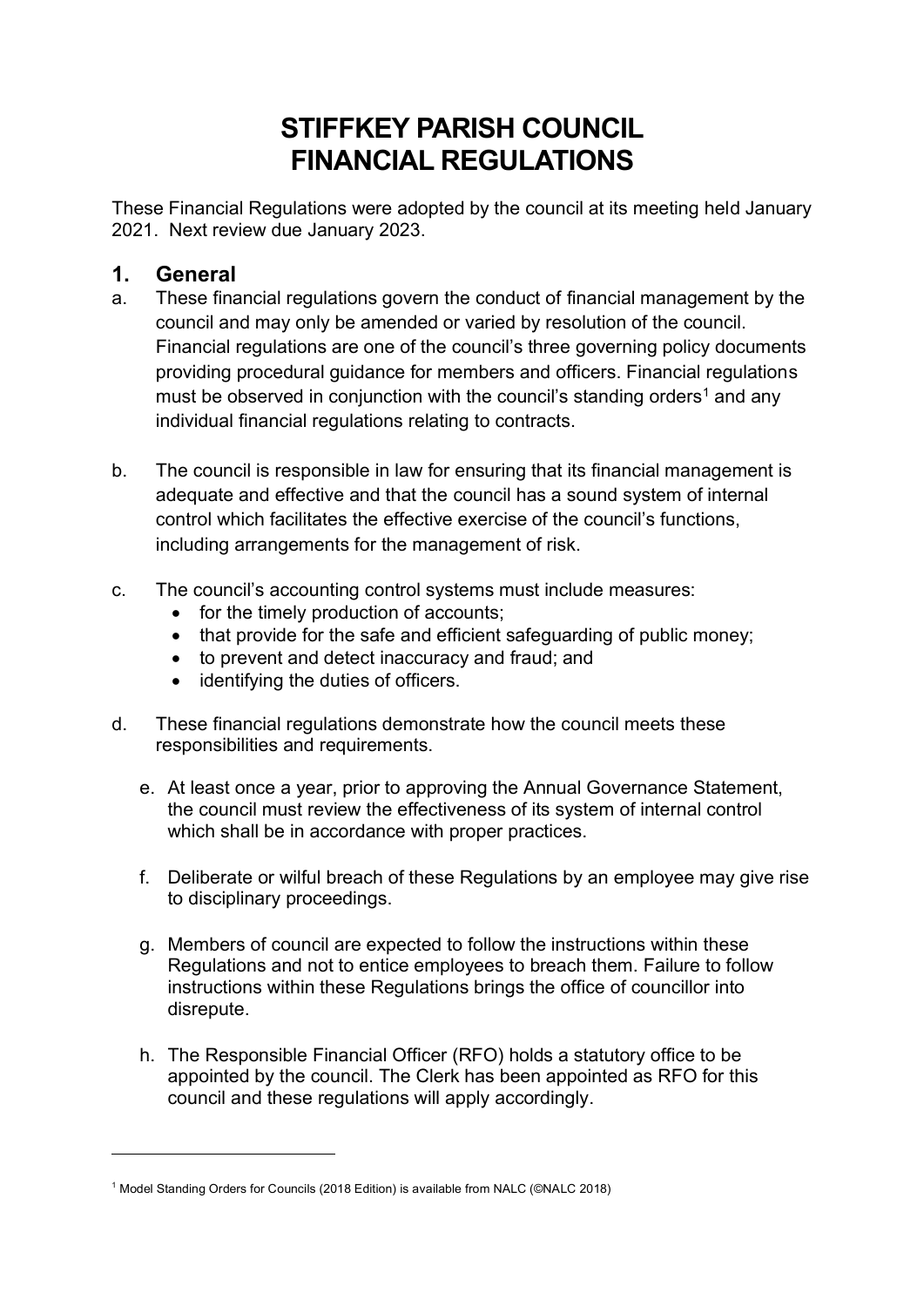# **STIFFKEY PARISH COUNCIL FINANCIAL REGULATIONS**

These Financial Regulations were adopted by the council at its meeting held January 2021. Next review due January 2023.

## **1. General**

- a. These financial regulations govern the conduct of financial management by the council and may only be amended or varied by resolution of the council. Financial regulations are one of the council's three governing policy documents providing procedural guidance for members and officers. Financial regulations must be observed in conjunction with the council's standing orders<sup>1</sup> and any individual financial regulations relating to contracts.
- b. The council is responsible in law for ensuring that its financial management is adequate and effective and that the council has a sound system of internal control which facilitates the effective exercise of the council's functions, including arrangements for the management of risk.
- c. The council's accounting control systems must include measures:
	- for the timely production of accounts;
	- that provide for the safe and efficient safeguarding of public money;
	- to prevent and detect inaccuracy and fraud; and
	- identifying the duties of officers.
- d. These financial regulations demonstrate how the council meets these responsibilities and requirements.
	- e. At least once a year, prior to approving the Annual Governance Statement, the council must review the effectiveness of its system of internal control which shall be in accordance with proper practices.
	- f. Deliberate or wilful breach of these Regulations by an employee may give rise to disciplinary proceedings.
	- g. Members of council are expected to follow the instructions within these Regulations and not to entice employees to breach them. Failure to follow instructions within these Regulations brings the office of councillor into disrepute.
	- h. The Responsible Financial Officer (RFO) holds a statutory office to be appointed by the council. The Clerk has been appointed as RFO for this council and these regulations will apply accordingly.

<sup>1</sup> Model Standing Orders for Councils (2018 Edition) is available from NALC (©NALC 2018)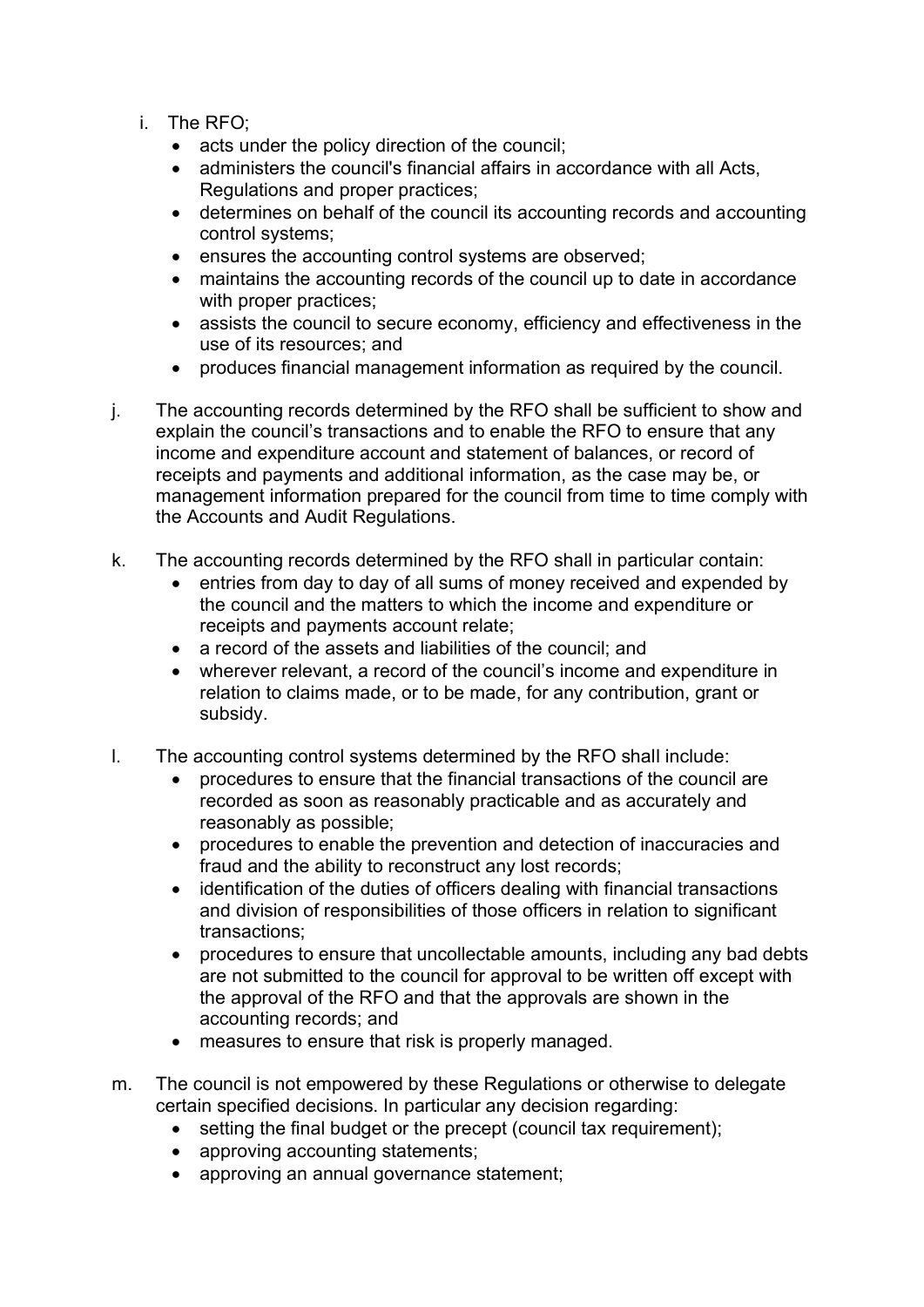- i. The RFO;
	- acts under the policy direction of the council;
	- administers the council's financial affairs in accordance with all Acts, Regulations and proper practices;
	- determines on behalf of the council its accounting records and accounting control systems;
	- ensures the accounting control systems are observed;
	- maintains the accounting records of the council up to date in accordance with proper practices:
	- assists the council to secure economy, efficiency and effectiveness in the use of its resources; and
	- produces financial management information as required by the council.
- j. The accounting records determined by the RFO shall be sufficient to show and explain the council's transactions and to enable the RFO to ensure that any income and expenditure account and statement of balances, or record of receipts and payments and additional information, as the case may be, or management information prepared for the council from time to time comply with the Accounts and Audit Regulations.
- k. The accounting records determined by the RFO shall in particular contain:
	- entries from day to day of all sums of money received and expended by the council and the matters to which the income and expenditure or receipts and payments account relate;
	- a record of the assets and liabilities of the council; and
	- wherever relevant, a record of the council's income and expenditure in relation to claims made, or to be made, for any contribution, grant or subsidy.
- l. The accounting control systems determined by the RFO shall include:
	- procedures to ensure that the financial transactions of the council are recorded as soon as reasonably practicable and as accurately and reasonably as possible;
	- procedures to enable the prevention and detection of inaccuracies and fraud and the ability to reconstruct any lost records;
	- identification of the duties of officers dealing with financial transactions and division of responsibilities of those officers in relation to significant transactions;
	- procedures to ensure that uncollectable amounts, including any bad debts are not submitted to the council for approval to be written off except with the approval of the RFO and that the approvals are shown in the accounting records; and
	- measures to ensure that risk is properly managed.
- m. The council is not empowered by these Regulations or otherwise to delegate certain specified decisions. In particular any decision regarding:
	- setting the final budget or the precept (council tax requirement);
	- approving accounting statements;
	- approving an annual governance statement;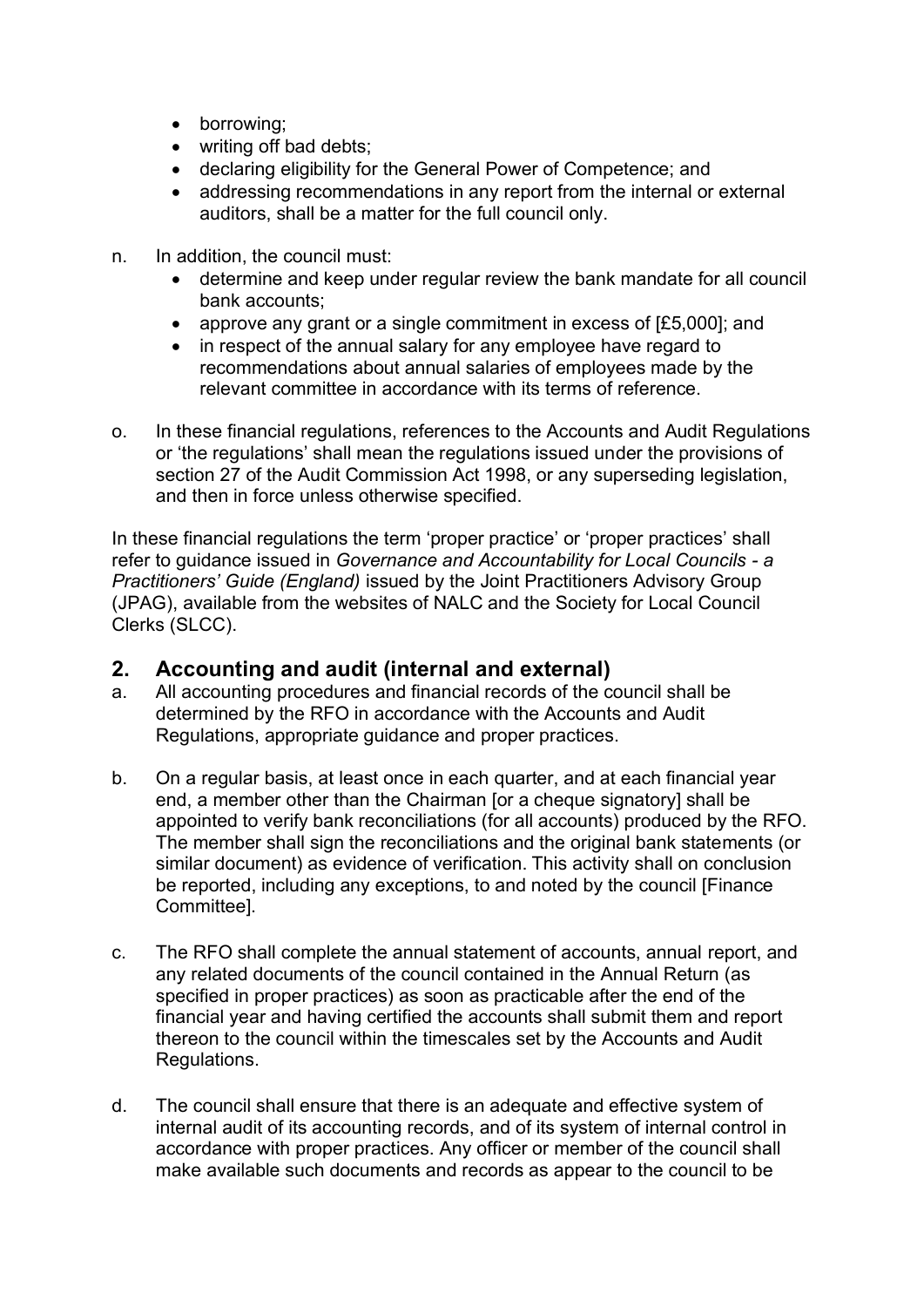- borrowing;
- writing off bad debts;
- declaring eligibility for the General Power of Competence; and
- addressing recommendations in any report from the internal or external auditors, shall be a matter for the full council only.
- n. In addition, the council must:
	- determine and keep under regular review the bank mandate for all council bank accounts;
	- approve any grant or a single commitment in excess of [£5,000]; and
	- in respect of the annual salary for any employee have regard to recommendations about annual salaries of employees made by the relevant committee in accordance with its terms of reference.
- o. In these financial regulations, references to the Accounts and Audit Regulations or 'the regulations' shall mean the regulations issued under the provisions of section 27 of the Audit Commission Act 1998, or any superseding legislation, and then in force unless otherwise specified.

In these financial regulations the term 'proper practice' or 'proper practices' shall refer to guidance issued in *Governance and Accountability for Local Councils - a Practitioners' Guide (England)* issued by the Joint Practitioners Advisory Group (JPAG), available from the websites of NALC and the Society for Local Council Clerks (SLCC).

## **2. Accounting and audit (internal and external)**

- a. All accounting procedures and financial records of the council shall be determined by the RFO in accordance with the Accounts and Audit Regulations, appropriate guidance and proper practices.
- b. On a regular basis, at least once in each quarter, and at each financial year end, a member other than the Chairman [or a cheque signatory] shall be appointed to verify bank reconciliations (for all accounts) produced by the RFO. The member shall sign the reconciliations and the original bank statements (or similar document) as evidence of verification. This activity shall on conclusion be reported, including any exceptions, to and noted by the council [Finance Committee].
- c. The RFO shall complete the annual statement of accounts, annual report, and any related documents of the council contained in the Annual Return (as specified in proper practices) as soon as practicable after the end of the financial year and having certified the accounts shall submit them and report thereon to the council within the timescales set by the Accounts and Audit Regulations.
- d. The council shall ensure that there is an adequate and effective system of internal audit of its accounting records, and of its system of internal control in accordance with proper practices. Any officer or member of the council shall make available such documents and records as appear to the council to be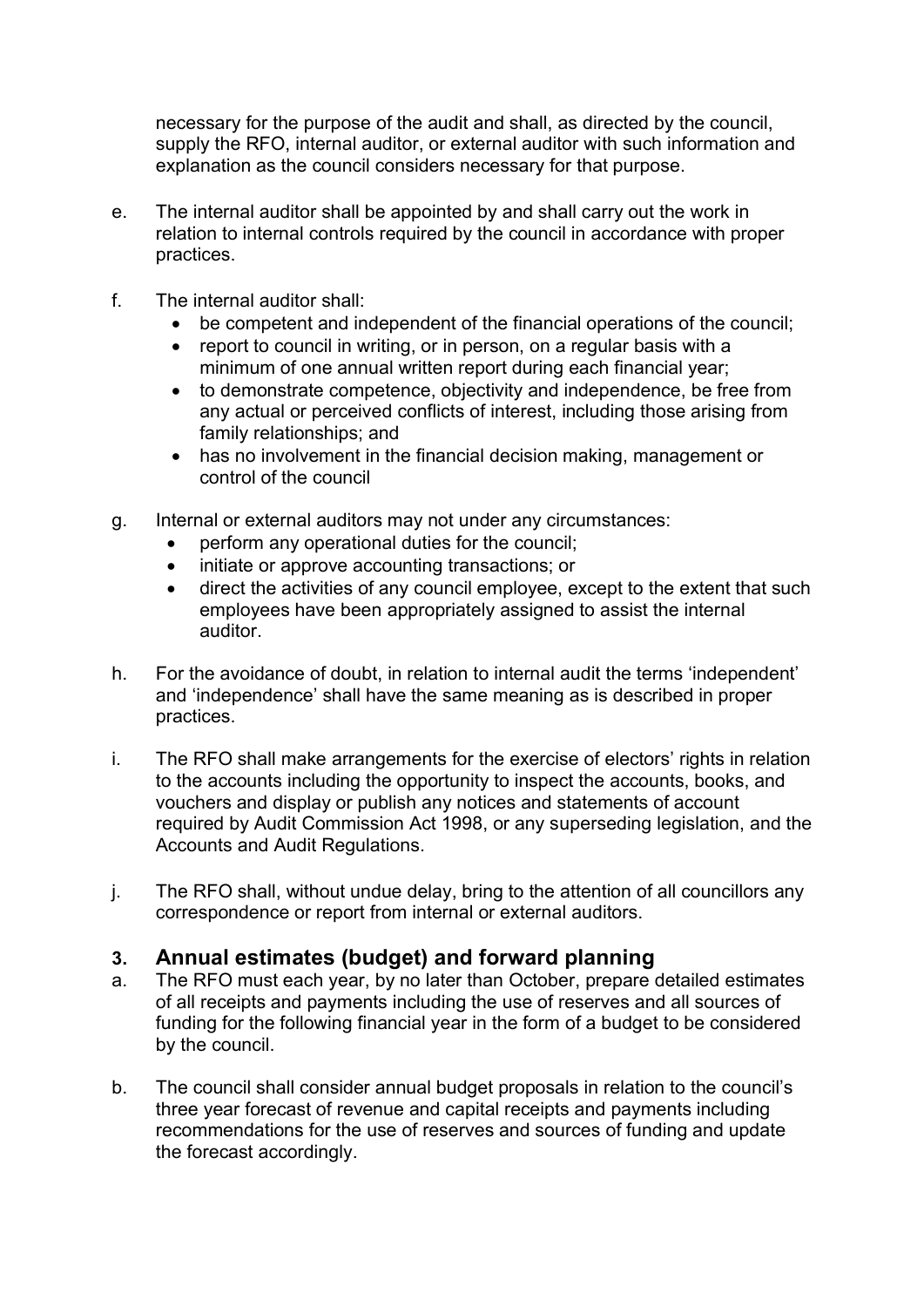necessary for the purpose of the audit and shall, as directed by the council, supply the RFO, internal auditor, or external auditor with such information and explanation as the council considers necessary for that purpose.

- e. The internal auditor shall be appointed by and shall carry out the work in relation to internal controls required by the council in accordance with proper practices.
- f. The internal auditor shall:
	- be competent and independent of the financial operations of the council;
	- report to council in writing, or in person, on a regular basis with a minimum of one annual written report during each financial year;
	- to demonstrate competence, objectivity and independence, be free from any actual or perceived conflicts of interest, including those arising from family relationships; and
	- has no involvement in the financial decision making, management or control of the council
- g. Internal or external auditors may not under any circumstances:
	- perform any operational duties for the council;
	- initiate or approve accounting transactions; or
	- direct the activities of any council employee, except to the extent that such employees have been appropriately assigned to assist the internal auditor.
- h. For the avoidance of doubt, in relation to internal audit the terms 'independent' and 'independence' shall have the same meaning as is described in proper practices.
- i. The RFO shall make arrangements for the exercise of electors' rights in relation to the accounts including the opportunity to inspect the accounts, books, and vouchers and display or publish any notices and statements of account required by Audit Commission Act 1998, or any superseding legislation, and the Accounts and Audit Regulations.
- j. The RFO shall, without undue delay, bring to the attention of all councillors any correspondence or report from internal or external auditors.

## **3. Annual estimates (budget) and forward planning**

- a. The RFO must each year, by no later than October, prepare detailed estimates of all receipts and payments including the use of reserves and all sources of funding for the following financial year in the form of a budget to be considered by the council.
- b. The council shall consider annual budget proposals in relation to the council's three year forecast of revenue and capital receipts and payments including recommendations for the use of reserves and sources of funding and update the forecast accordingly.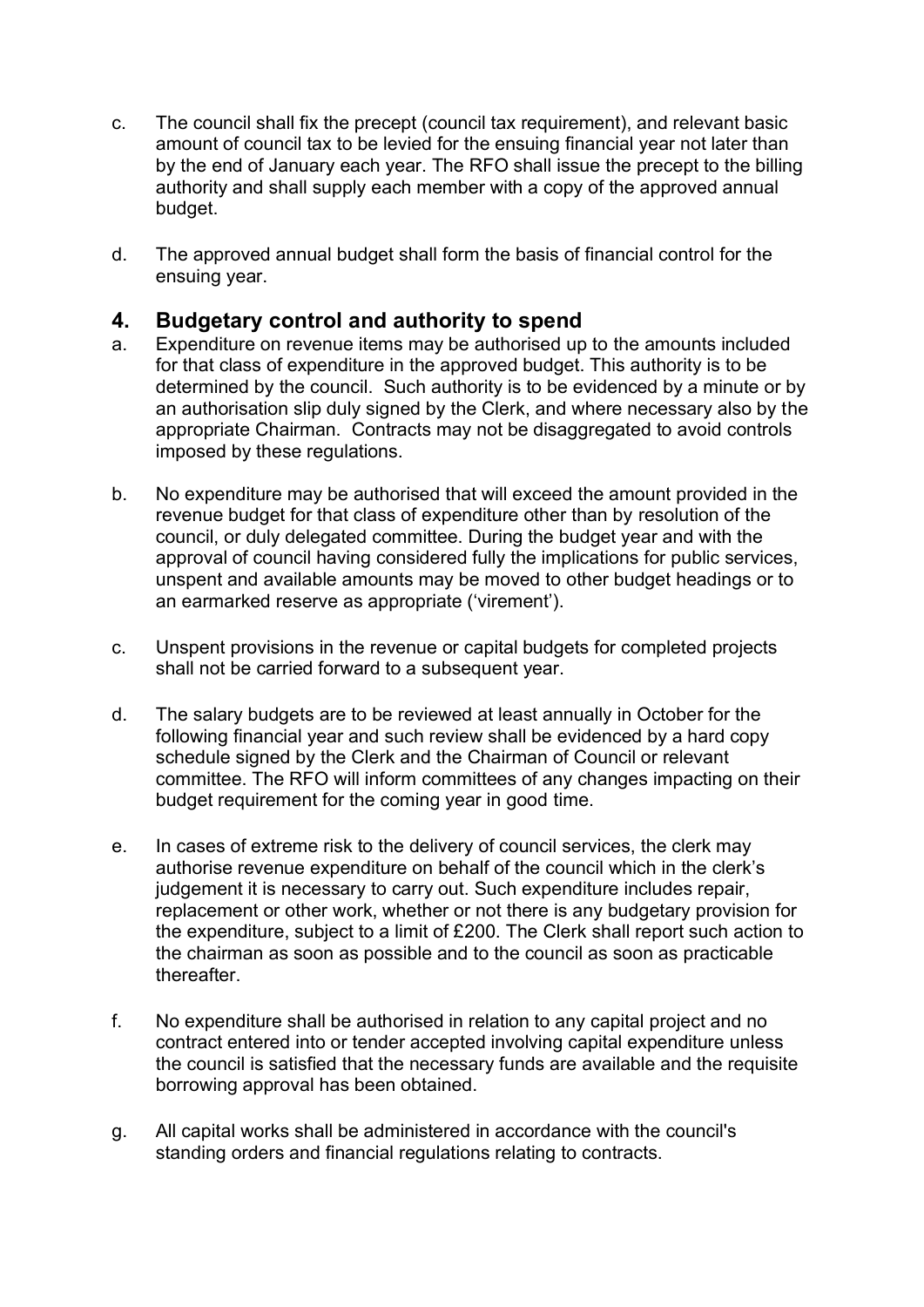- c. The council shall fix the precept (council tax requirement), and relevant basic amount of council tax to be levied for the ensuing financial year not later than by the end of January each year. The RFO shall issue the precept to the billing authority and shall supply each member with a copy of the approved annual budget.
- d. The approved annual budget shall form the basis of financial control for the ensuing year.

## **4. Budgetary control and authority to spend**

- a. Expenditure on revenue items may be authorised up to the amounts included for that class of expenditure in the approved budget. This authority is to be determined by the council. Such authority is to be evidenced by a minute or by an authorisation slip duly signed by the Clerk, and where necessary also by the appropriate Chairman. Contracts may not be disaggregated to avoid controls imposed by these regulations.
- b. No expenditure may be authorised that will exceed the amount provided in the revenue budget for that class of expenditure other than by resolution of the council, or duly delegated committee. During the budget year and with the approval of council having considered fully the implications for public services, unspent and available amounts may be moved to other budget headings or to an earmarked reserve as appropriate ('virement').
- c. Unspent provisions in the revenue or capital budgets for completed projects shall not be carried forward to a subsequent year.
- d. The salary budgets are to be reviewed at least annually in October for the following financial year and such review shall be evidenced by a hard copy schedule signed by the Clerk and the Chairman of Council or relevant committee. The RFO will inform committees of any changes impacting on their budget requirement for the coming year in good time.
- e. In cases of extreme risk to the delivery of council services, the clerk may authorise revenue expenditure on behalf of the council which in the clerk's judgement it is necessary to carry out. Such expenditure includes repair, replacement or other work, whether or not there is any budgetary provision for the expenditure, subject to a limit of £200. The Clerk shall report such action to the chairman as soon as possible and to the council as soon as practicable thereafter.
- f. No expenditure shall be authorised in relation to any capital project and no contract entered into or tender accepted involving capital expenditure unless the council is satisfied that the necessary funds are available and the requisite borrowing approval has been obtained.
- g. All capital works shall be administered in accordance with the council's standing orders and financial regulations relating to contracts.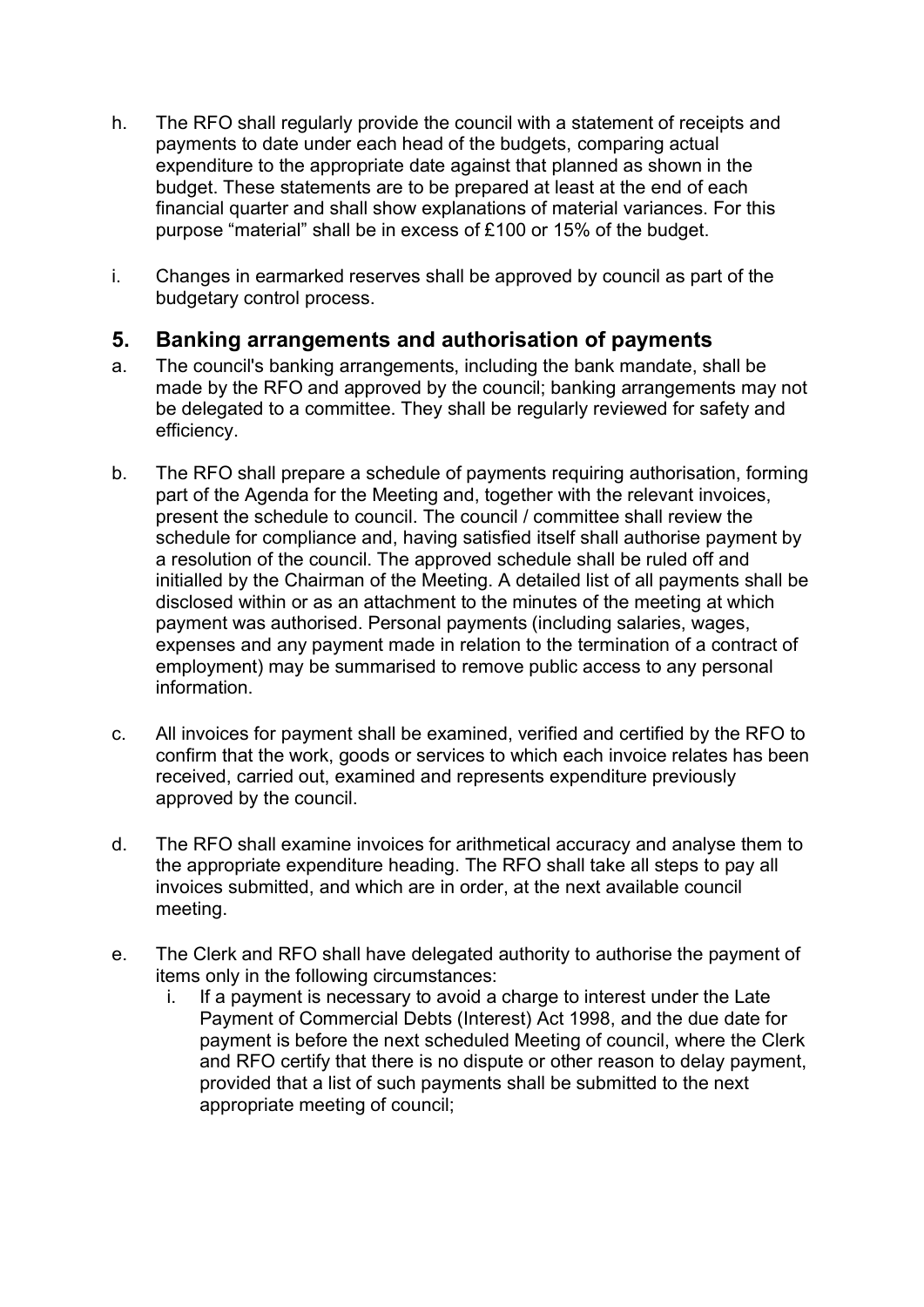- h. The RFO shall regularly provide the council with a statement of receipts and payments to date under each head of the budgets, comparing actual expenditure to the appropriate date against that planned as shown in the budget. These statements are to be prepared at least at the end of each financial quarter and shall show explanations of material variances. For this purpose "material" shall be in excess of £100 or 15% of the budget.
- i. Changes in earmarked reserves shall be approved by council as part of the budgetary control process.

# **5. Banking arrangements and authorisation of payments**

- a. The council's banking arrangements, including the bank mandate, shall be made by the RFO and approved by the council; banking arrangements may not be delegated to a committee. They shall be regularly reviewed for safety and efficiency.
- b. The RFO shall prepare a schedule of payments requiring authorisation, forming part of the Agenda for the Meeting and, together with the relevant invoices, present the schedule to council. The council / committee shall review the schedule for compliance and, having satisfied itself shall authorise payment by a resolution of the council. The approved schedule shall be ruled off and initialled by the Chairman of the Meeting. A detailed list of all payments shall be disclosed within or as an attachment to the minutes of the meeting at which payment was authorised. Personal payments (including salaries, wages, expenses and any payment made in relation to the termination of a contract of employment) may be summarised to remove public access to any personal information.
- c. All invoices for payment shall be examined, verified and certified by the RFO to confirm that the work, goods or services to which each invoice relates has been received, carried out, examined and represents expenditure previously approved by the council.
- d. The RFO shall examine invoices for arithmetical accuracy and analyse them to the appropriate expenditure heading. The RFO shall take all steps to pay all invoices submitted, and which are in order, at the next available council meeting.
- e. The Clerk and RFO shall have delegated authority to authorise the payment of items only in the following circumstances:
	- i. If a payment is necessary to avoid a charge to interest under the Late Payment of Commercial Debts (Interest) Act 1998, and the due date for payment is before the next scheduled Meeting of council, where the Clerk and RFO certify that there is no dispute or other reason to delay payment, provided that a list of such payments shall be submitted to the next appropriate meeting of council;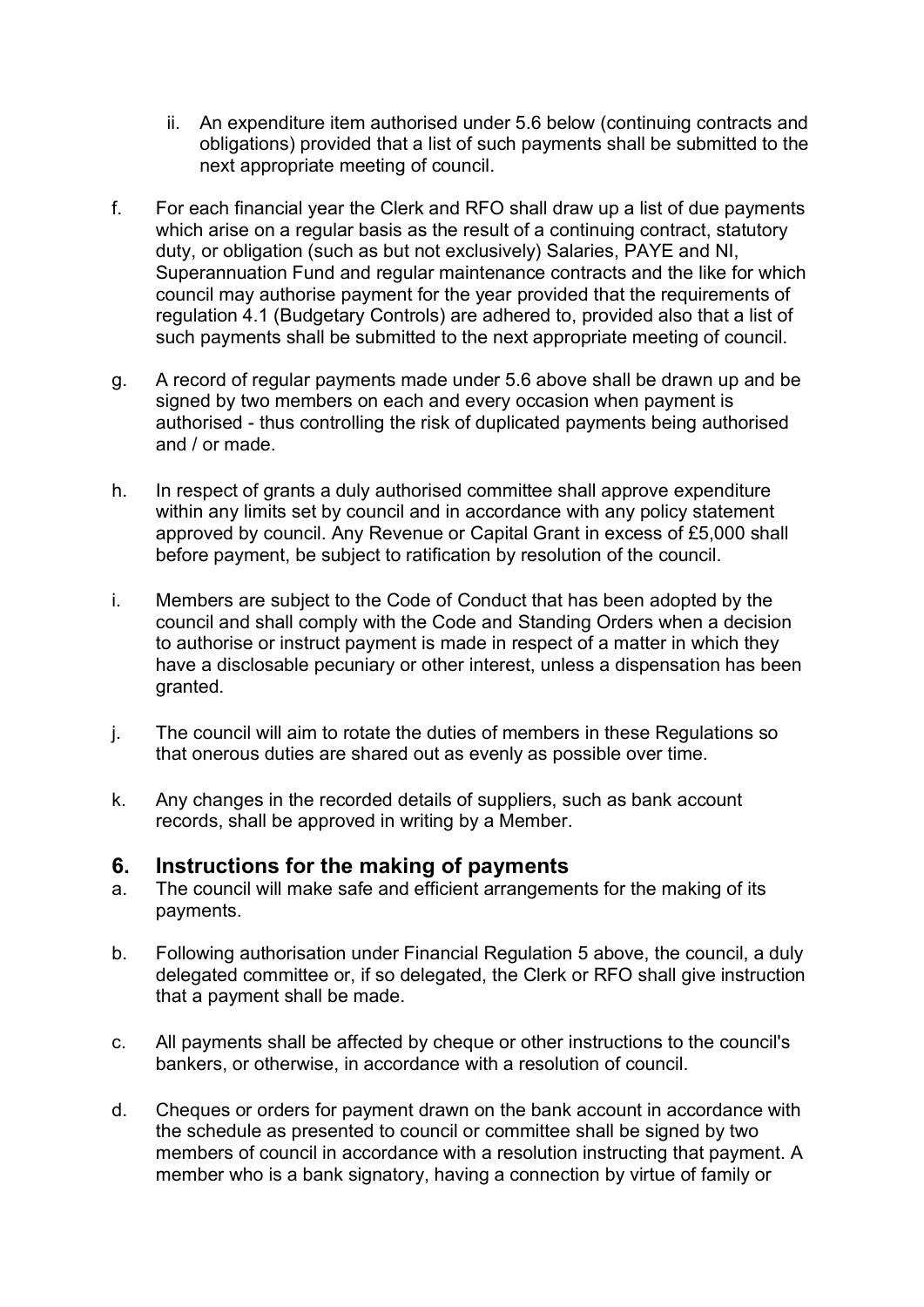- ii. An expenditure item authorised under 5.6 below (continuing contracts and obligations) provided that a list of such payments shall be submitted to the next appropriate meeting of council.
- f. For each financial year the Clerk and RFO shall draw up a list of due payments which arise on a regular basis as the result of a continuing contract, statutory duty, or obligation (such as but not exclusively) Salaries, PAYE and NI, Superannuation Fund and regular maintenance contracts and the like for which council may authorise payment for the year provided that the requirements of regulation 4.1 (Budgetary Controls) are adhered to, provided also that a list of such payments shall be submitted to the next appropriate meeting of council.
- g. A record of regular payments made under 5.6 above shall be drawn up and be signed by two members on each and every occasion when payment is authorised - thus controlling the risk of duplicated payments being authorised and / or made.
- h. In respect of grants a duly authorised committee shall approve expenditure within any limits set by council and in accordance with any policy statement approved by council. Any Revenue or Capital Grant in excess of £5,000 shall before payment, be subject to ratification by resolution of the council.
- i. Members are subject to the Code of Conduct that has been adopted by the council and shall comply with the Code and Standing Orders when a decision to authorise or instruct payment is made in respect of a matter in which they have a disclosable pecuniary or other interest, unless a dispensation has been granted.
- j. The council will aim to rotate the duties of members in these Regulations so that onerous duties are shared out as evenly as possible over time.
- k. Any changes in the recorded details of suppliers, such as bank account records, shall be approved in writing by a Member.

#### **6. Instructions for the making of payments**

- a. The council will make safe and efficient arrangements for the making of its payments.
- b. Following authorisation under Financial Regulation 5 above, the council, a duly delegated committee or, if so delegated, the Clerk or RFO shall give instruction that a payment shall be made.
- c. All payments shall be affected by cheque or other instructions to the council's bankers, or otherwise, in accordance with a resolution of council.
- d. Cheques or orders for payment drawn on the bank account in accordance with the schedule as presented to council or committee shall be signed by two members of council in accordance with a resolution instructing that payment. A member who is a bank signatory, having a connection by virtue of family or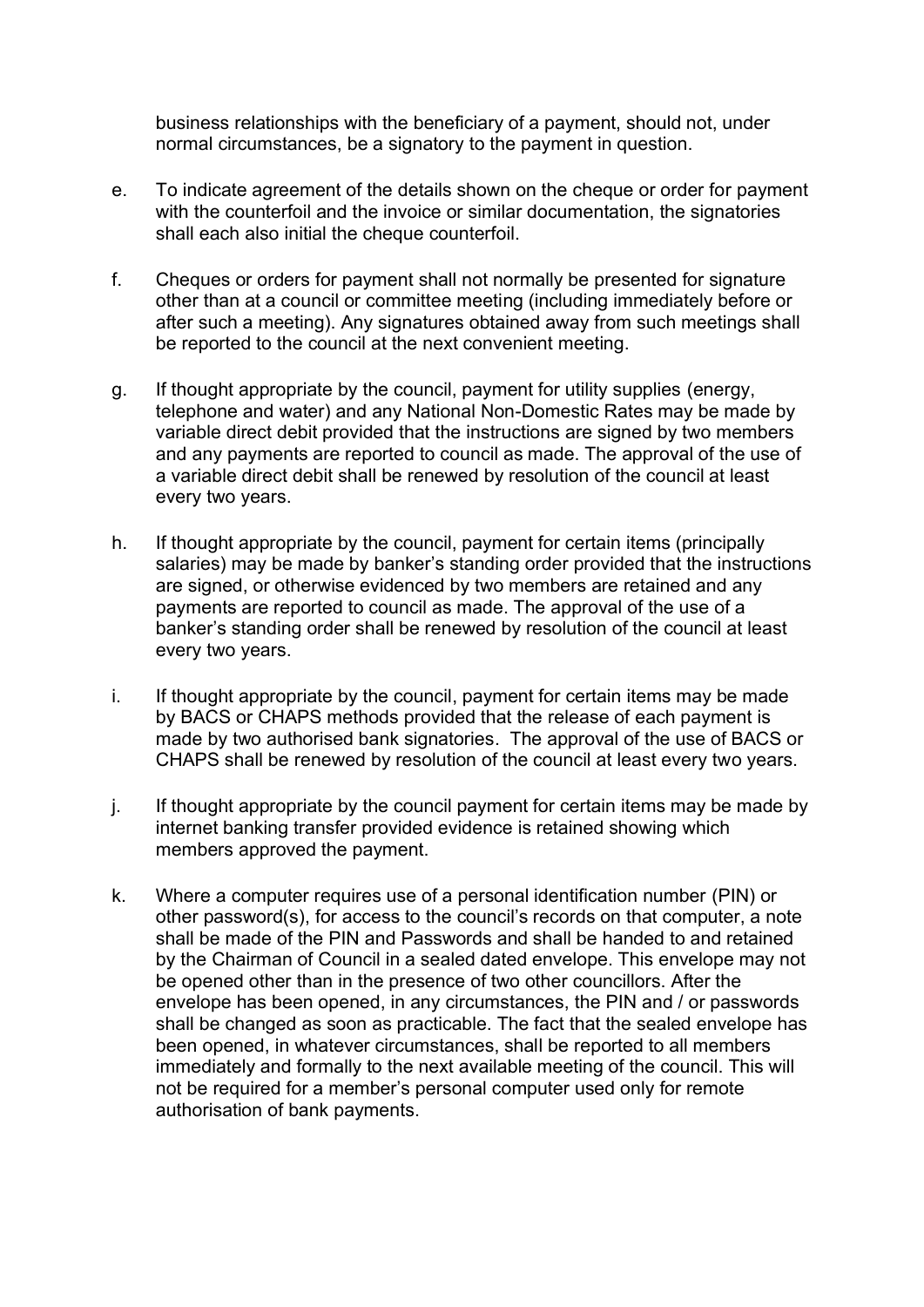business relationships with the beneficiary of a payment, should not, under normal circumstances, be a signatory to the payment in question.

- e. To indicate agreement of the details shown on the cheque or order for payment with the counterfoil and the invoice or similar documentation, the signatories shall each also initial the cheque counterfoil.
- f. Cheques or orders for payment shall not normally be presented for signature other than at a council or committee meeting (including immediately before or after such a meeting). Any signatures obtained away from such meetings shall be reported to the council at the next convenient meeting.
- g. If thought appropriate by the council, payment for utility supplies (energy, telephone and water) and any National Non-Domestic Rates may be made by variable direct debit provided that the instructions are signed by two members and any payments are reported to council as made. The approval of the use of a variable direct debit shall be renewed by resolution of the council at least every two years.
- h. If thought appropriate by the council, payment for certain items (principally salaries) may be made by banker's standing order provided that the instructions are signed, or otherwise evidenced by two members are retained and any payments are reported to council as made. The approval of the use of a banker's standing order shall be renewed by resolution of the council at least every two years.
- i. If thought appropriate by the council, payment for certain items may be made by BACS or CHAPS methods provided that the release of each payment is made by two authorised bank signatories. The approval of the use of BACS or CHAPS shall be renewed by resolution of the council at least every two years.
- $i$ . If thought appropriate by the council payment for certain items may be made by internet banking transfer provided evidence is retained showing which members approved the payment.
- k. Where a computer requires use of a personal identification number (PIN) or other password(s), for access to the council's records on that computer, a note shall be made of the PIN and Passwords and shall be handed to and retained by the Chairman of Council in a sealed dated envelope. This envelope may not be opened other than in the presence of two other councillors. After the envelope has been opened, in any circumstances, the PIN and / or passwords shall be changed as soon as practicable. The fact that the sealed envelope has been opened, in whatever circumstances, shall be reported to all members immediately and formally to the next available meeting of the council. This will not be required for a member's personal computer used only for remote authorisation of bank payments.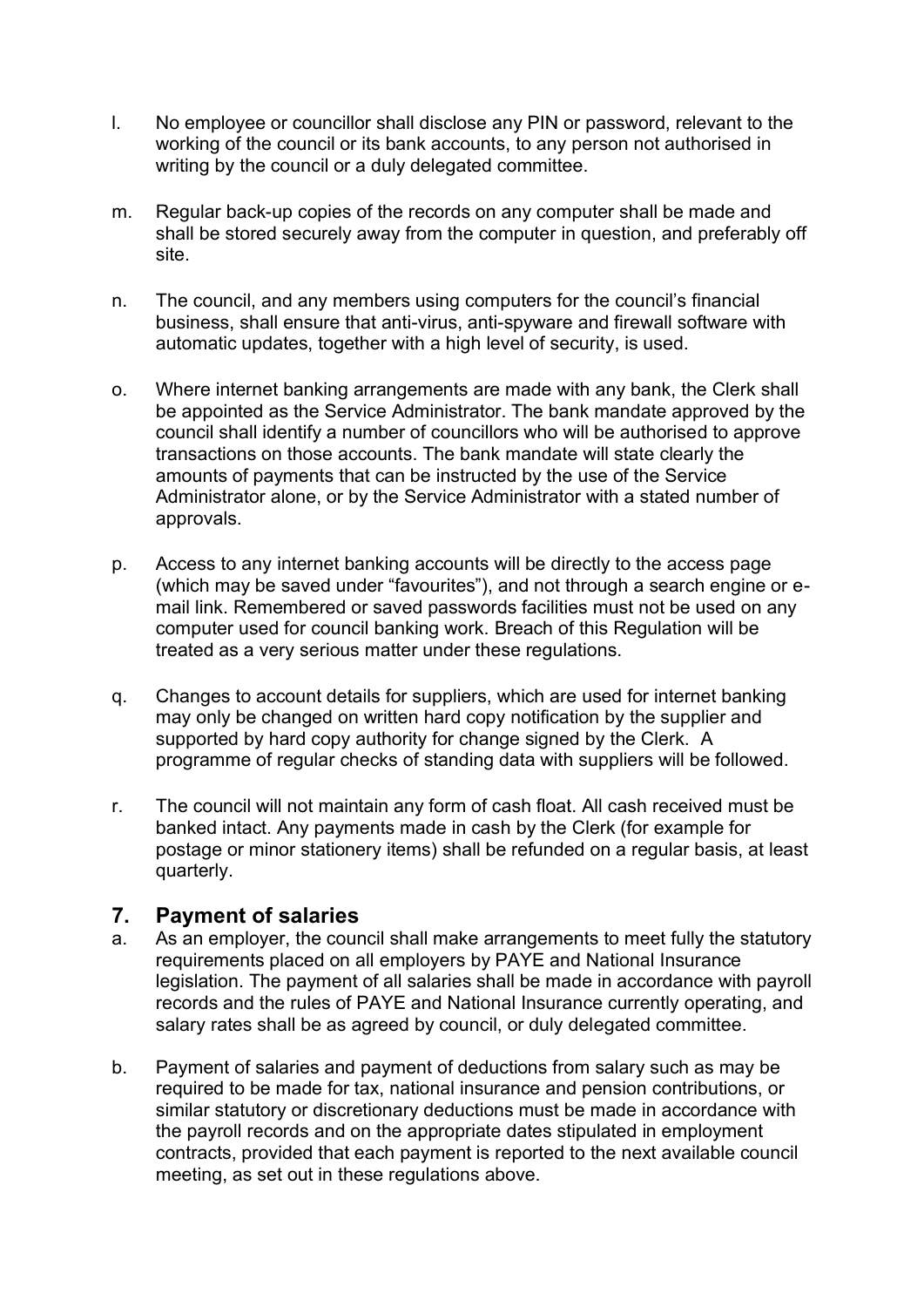- l. No employee or councillor shall disclose any PIN or password, relevant to the working of the council or its bank accounts, to any person not authorised in writing by the council or a duly delegated committee.
- m. Regular back-up copies of the records on any computer shall be made and shall be stored securely away from the computer in question, and preferably off site.
- n. The council, and any members using computers for the council's financial business, shall ensure that anti-virus, anti-spyware and firewall software with automatic updates, together with a high level of security, is used.
- o. Where internet banking arrangements are made with any bank, the Clerk shall be appointed as the Service Administrator. The bank mandate approved by the council shall identify a number of councillors who will be authorised to approve transactions on those accounts. The bank mandate will state clearly the amounts of payments that can be instructed by the use of the Service Administrator alone, or by the Service Administrator with a stated number of approvals.
- p. Access to any internet banking accounts will be directly to the access page (which may be saved under "favourites"), and not through a search engine or email link. Remembered or saved passwords facilities must not be used on any computer used for council banking work. Breach of this Regulation will be treated as a very serious matter under these regulations.
- q. Changes to account details for suppliers, which are used for internet banking may only be changed on written hard copy notification by the supplier and supported by hard copy authority for change signed by the Clerk. A programme of regular checks of standing data with suppliers will be followed.
- r. The council will not maintain any form of cash float. All cash received must be banked intact. Any payments made in cash by the Clerk (for example for postage or minor stationery items) shall be refunded on a regular basis, at least quarterly.

#### **7. Payment of salaries**

- a. As an employer, the council shall make arrangements to meet fully the statutory requirements placed on all employers by PAYE and National Insurance legislation. The payment of all salaries shall be made in accordance with payroll records and the rules of PAYE and National Insurance currently operating, and salary rates shall be as agreed by council, or duly delegated committee.
- b. Payment of salaries and payment of deductions from salary such as may be required to be made for tax, national insurance and pension contributions, or similar statutory or discretionary deductions must be made in accordance with the payroll records and on the appropriate dates stipulated in employment contracts, provided that each payment is reported to the next available council meeting, as set out in these regulations above.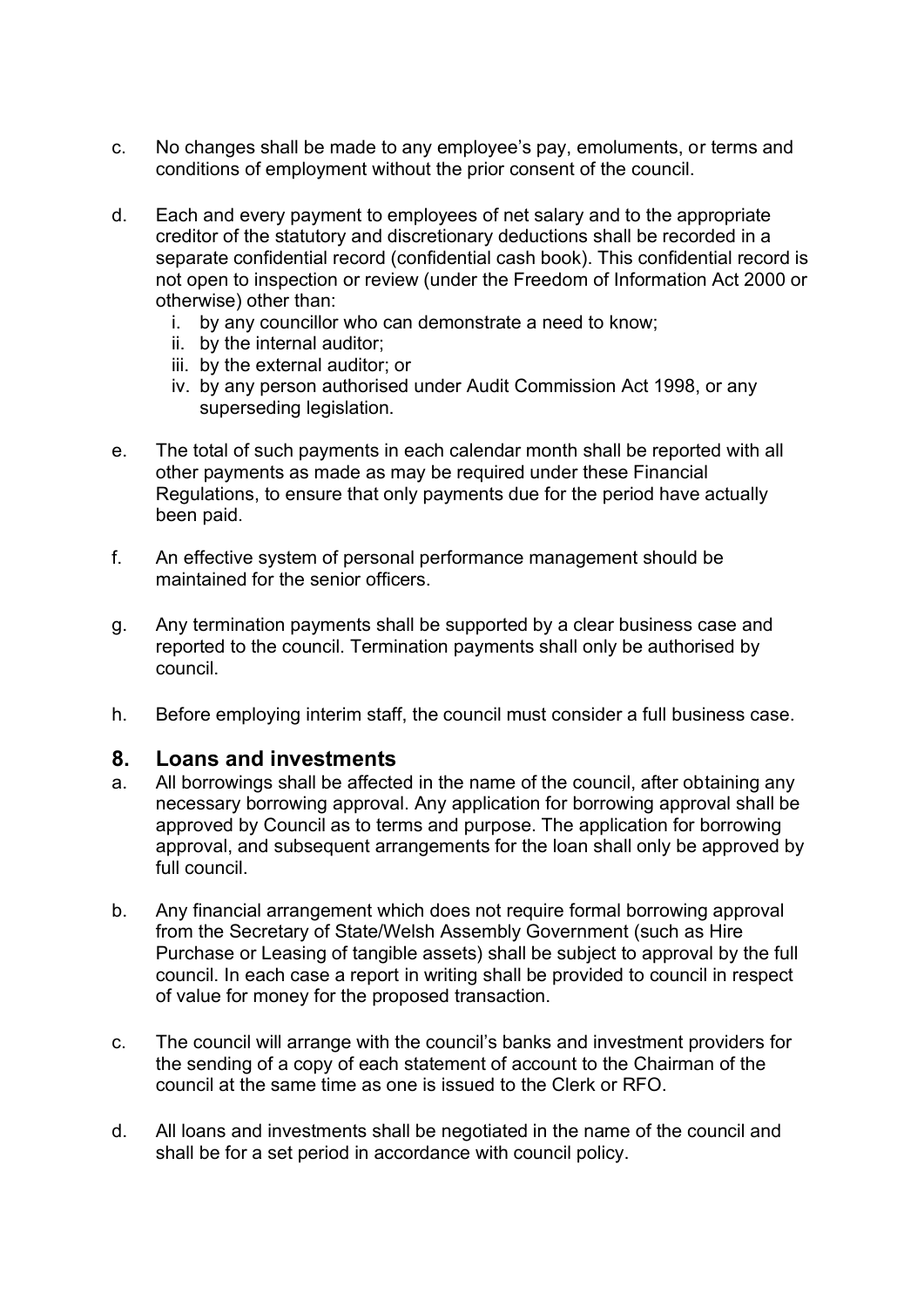- c. No changes shall be made to any employee's pay, emoluments, or terms and conditions of employment without the prior consent of the council.
- d. Each and every payment to employees of net salary and to the appropriate creditor of the statutory and discretionary deductions shall be recorded in a separate confidential record (confidential cash book). This confidential record is not open to inspection or review (under the Freedom of Information Act 2000 or otherwise) other than:
	- i. by any councillor who can demonstrate a need to know;
	- ii. by the internal auditor;
	- iii. by the external auditor; or
	- iv. by any person authorised under Audit Commission Act 1998, or any superseding legislation.
- e. The total of such payments in each calendar month shall be reported with all other payments as made as may be required under these Financial Regulations, to ensure that only payments due for the period have actually been paid.
- f. An effective system of personal performance management should be maintained for the senior officers.
- g. Any termination payments shall be supported by a clear business case and reported to the council. Termination payments shall only be authorised by council.
- h. Before employing interim staff, the council must consider a full business case.

#### **8. Loans and investments**

- a. All borrowings shall be affected in the name of the council, after obtaining any necessary borrowing approval. Any application for borrowing approval shall be approved by Council as to terms and purpose. The application for borrowing approval, and subsequent arrangements for the loan shall only be approved by full council.
- b. Any financial arrangement which does not require formal borrowing approval from the Secretary of State/Welsh Assembly Government (such as Hire Purchase or Leasing of tangible assets) shall be subject to approval by the full council. In each case a report in writing shall be provided to council in respect of value for money for the proposed transaction.
- c. The council will arrange with the council's banks and investment providers for the sending of a copy of each statement of account to the Chairman of the council at the same time as one is issued to the Clerk or RFO.
- d. All loans and investments shall be negotiated in the name of the council and shall be for a set period in accordance with council policy.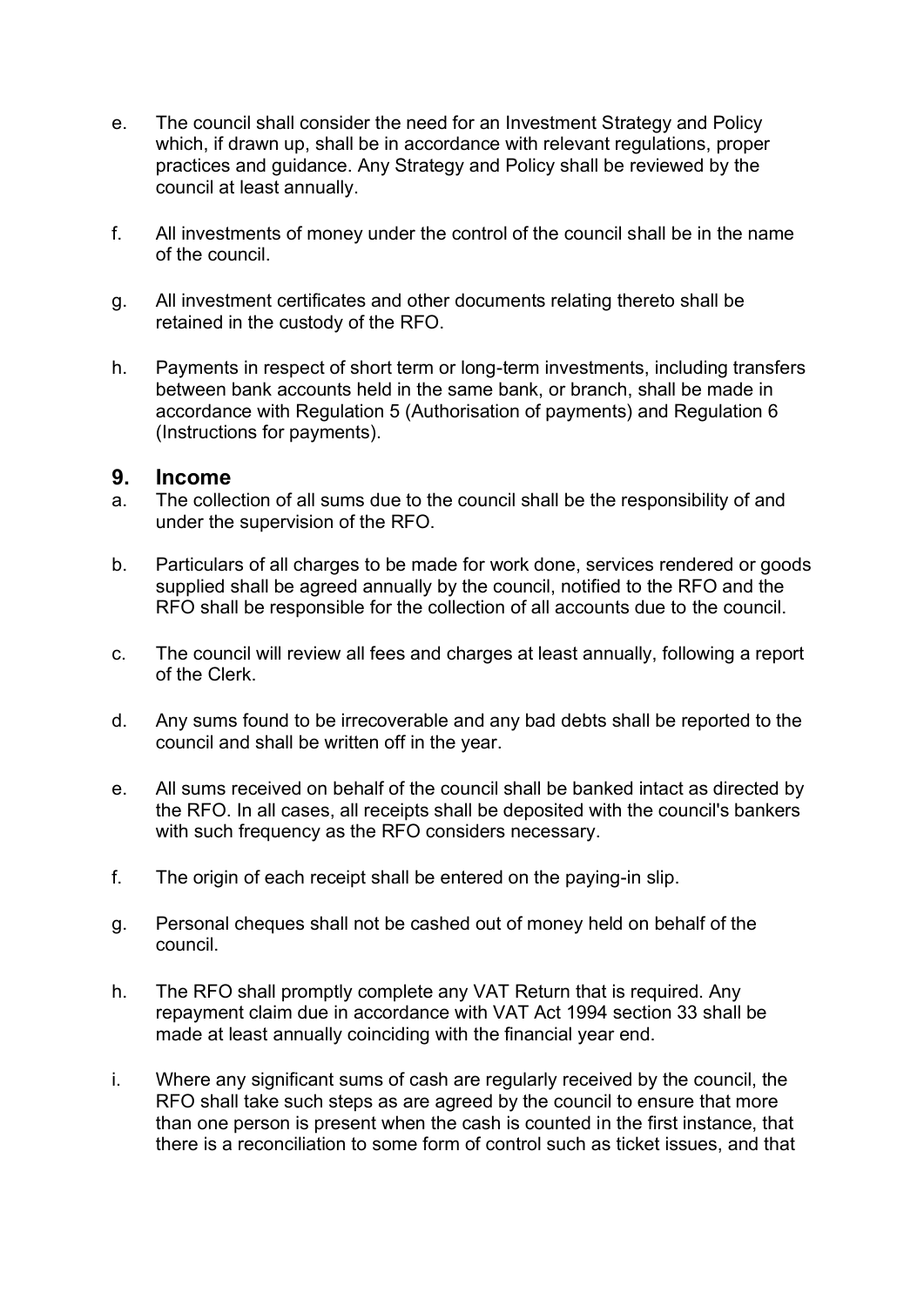- e. The council shall consider the need for an Investment Strategy and Policy which, if drawn up, shall be in accordance with relevant regulations, proper practices and guidance. Any Strategy and Policy shall be reviewed by the council at least annually.
- f. All investments of money under the control of the council shall be in the name of the council.
- g. All investment certificates and other documents relating thereto shall be retained in the custody of the RFO.
- h. Payments in respect of short term or long-term investments, including transfers between bank accounts held in the same bank, or branch, shall be made in accordance with Regulation 5 (Authorisation of payments) and Regulation 6 (Instructions for payments).

#### **9. Income**

- a. The collection of all sums due to the council shall be the responsibility of and under the supervision of the RFO.
- b. Particulars of all charges to be made for work done, services rendered or goods supplied shall be agreed annually by the council, notified to the RFO and the RFO shall be responsible for the collection of all accounts due to the council.
- c. The council will review all fees and charges at least annually, following a report of the Clerk.
- d. Any sums found to be irrecoverable and any bad debts shall be reported to the council and shall be written off in the year.
- e. All sums received on behalf of the council shall be banked intact as directed by the RFO. In all cases, all receipts shall be deposited with the council's bankers with such frequency as the RFO considers necessary.
- f. The origin of each receipt shall be entered on the paying-in slip.
- g. Personal cheques shall not be cashed out of money held on behalf of the council.
- h. The RFO shall promptly complete any VAT Return that is required. Any repayment claim due in accordance with VAT Act 1994 section 33 shall be made at least annually coinciding with the financial year end.
- i. Where any significant sums of cash are regularly received by the council, the RFO shall take such steps as are agreed by the council to ensure that more than one person is present when the cash is counted in the first instance, that there is a reconciliation to some form of control such as ticket issues, and that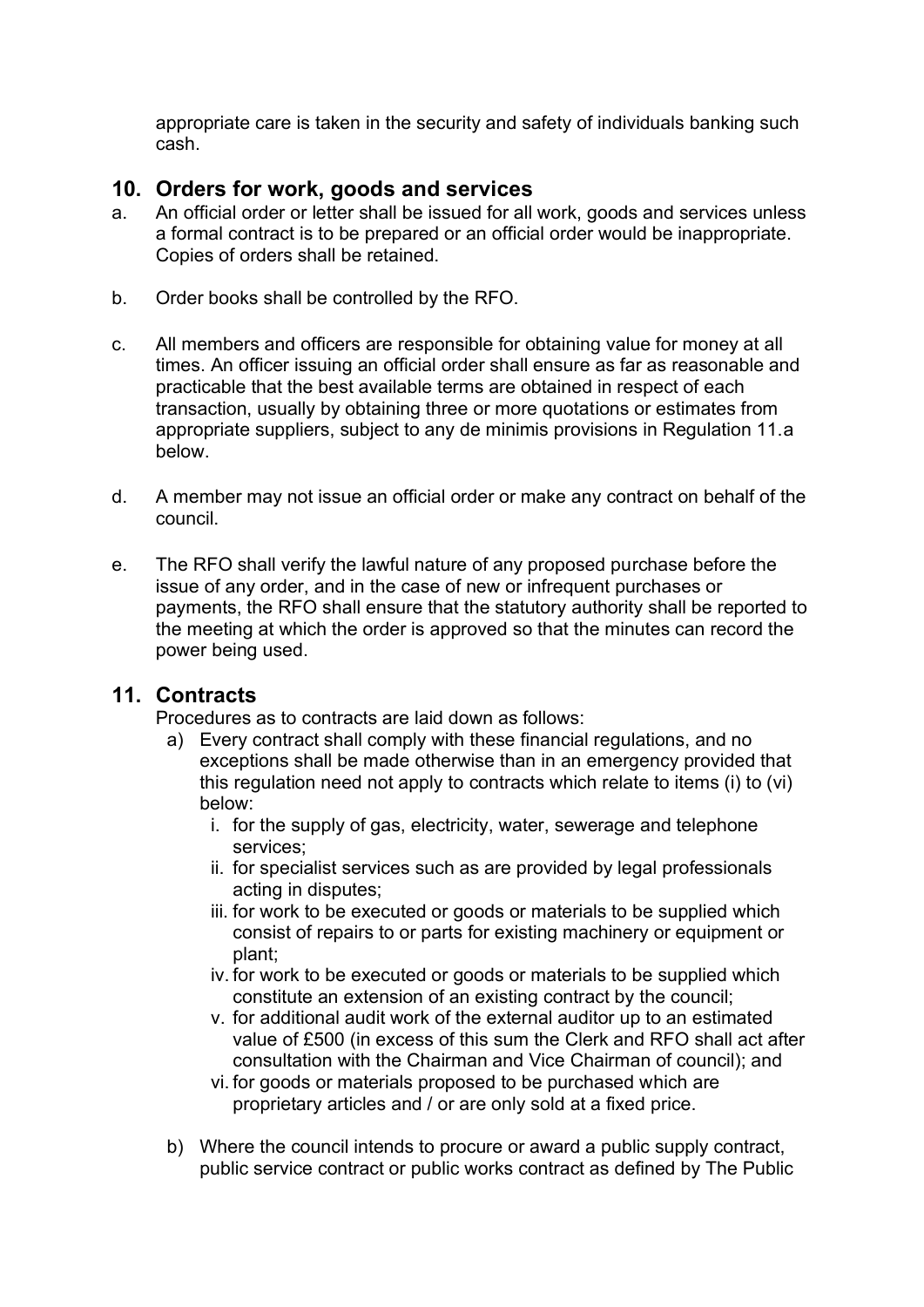appropriate care is taken in the security and safety of individuals banking such cash.

## **10. Orders for work, goods and services**

- a. An official order or letter shall be issued for all work, goods and services unless a formal contract is to be prepared or an official order would be inappropriate. Copies of orders shall be retained.
- b. Order books shall be controlled by the RFO.
- c. All members and officers are responsible for obtaining value for money at all times. An officer issuing an official order shall ensure as far as reasonable and practicable that the best available terms are obtained in respect of each transaction, usually by obtaining three or more quotations or estimates from appropriate suppliers, subject to any de minimis provisions in Regulation 11.a below.
- d. A member may not issue an official order or make any contract on behalf of the council.
- e. The RFO shall verify the lawful nature of any proposed purchase before the issue of any order, and in the case of new or infrequent purchases or payments, the RFO shall ensure that the statutory authority shall be reported to the meeting at which the order is approved so that the minutes can record the power being used.

## **11. Contracts**

Procedures as to contracts are laid down as follows:

- a) Every contract shall comply with these financial regulations, and no exceptions shall be made otherwise than in an emergency provided that this regulation need not apply to contracts which relate to items (i) to (vi) below:
	- i. for the supply of gas, electricity, water, sewerage and telephone services;
	- ii. for specialist services such as are provided by legal professionals acting in disputes;
	- iii. for work to be executed or goods or materials to be supplied which consist of repairs to or parts for existing machinery or equipment or plant;
	- iv. for work to be executed or goods or materials to be supplied which constitute an extension of an existing contract by the council;
	- v. for additional audit work of the external auditor up to an estimated value of £500 (in excess of this sum the Clerk and RFO shall act after consultation with the Chairman and Vice Chairman of council); and
	- vi. for goods or materials proposed to be purchased which are proprietary articles and / or are only sold at a fixed price.
- b) Where the council intends to procure or award a public supply contract, public service contract or public works contract as defined by The Public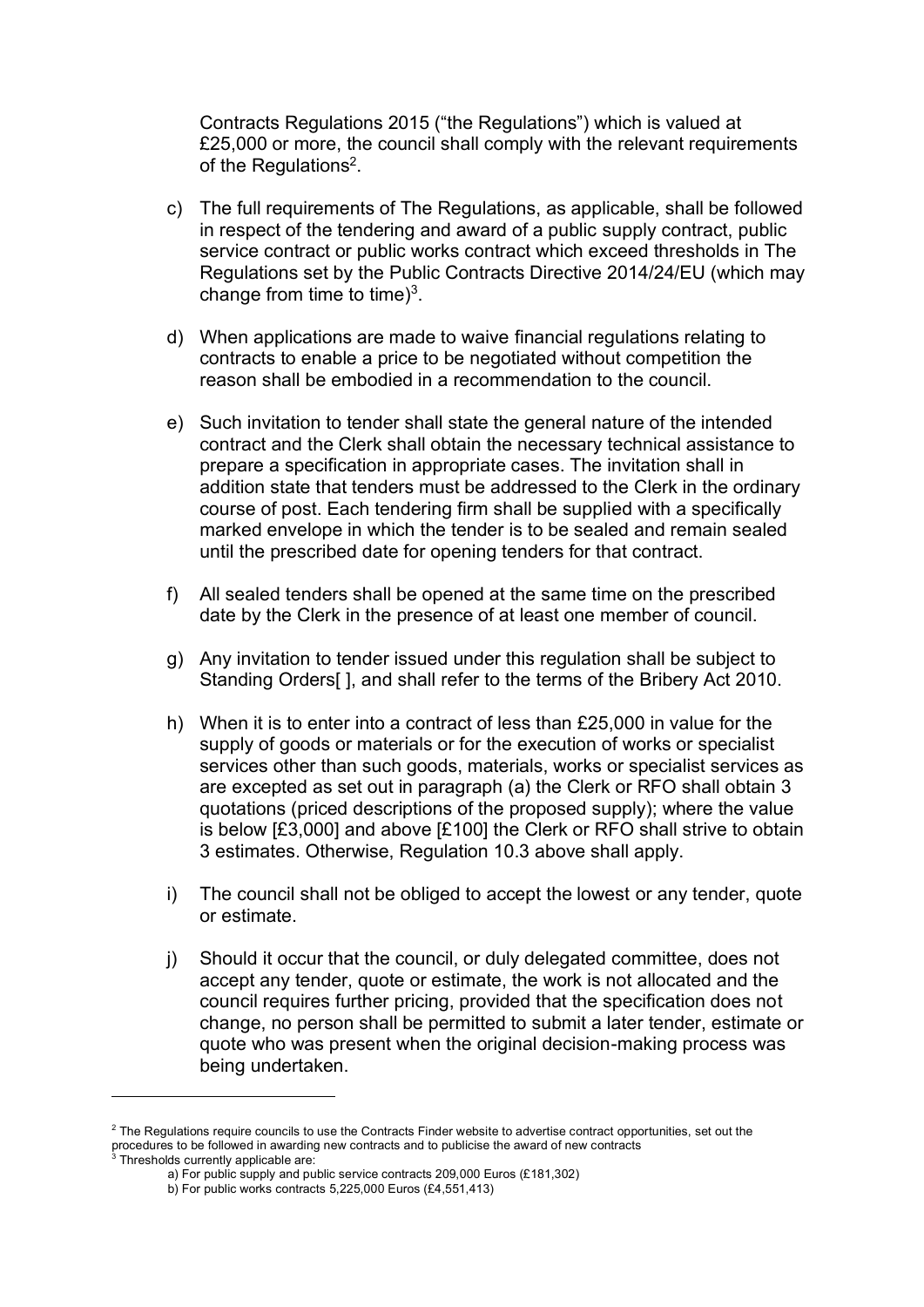Contracts Regulations 2015 ("the Regulations") which is valued at £25,000 or more, the council shall comply with the relevant requirements of the Regulations<sup>2</sup>.

- c) The full requirements of The Regulations, as applicable, shall be followed in respect of the tendering and award of a public supply contract, public service contract or public works contract which exceed thresholds in The Regulations set by the Public Contracts Directive 2014/24/EU (which may change from time to time) $3$ .
- d) When applications are made to waive financial regulations relating to contracts to enable a price to be negotiated without competition the reason shall be embodied in a recommendation to the council.
- e) Such invitation to tender shall state the general nature of the intended contract and the Clerk shall obtain the necessary technical assistance to prepare a specification in appropriate cases. The invitation shall in addition state that tenders must be addressed to the Clerk in the ordinary course of post. Each tendering firm shall be supplied with a specifically marked envelope in which the tender is to be sealed and remain sealed until the prescribed date for opening tenders for that contract.
- f) All sealed tenders shall be opened at the same time on the prescribed date by the Clerk in the presence of at least one member of council.
- g) Any invitation to tender issued under this regulation shall be subject to Standing Orders[ ], and shall refer to the terms of the Bribery Act 2010.
- h) When it is to enter into a contract of less than £25,000 in value for the supply of goods or materials or for the execution of works or specialist services other than such goods, materials, works or specialist services as are excepted as set out in paragraph (a) the Clerk or RFO shall obtain 3 quotations (priced descriptions of the proposed supply); where the value is below [£3,000] and above [£100] the Clerk or RFO shall strive to obtain 3 estimates. Otherwise, Regulation 10.3 above shall apply.
- i) The council shall not be obliged to accept the lowest or any tender, quote or estimate.
- j) Should it occur that the council, or duly delegated committee, does not accept any tender, quote or estimate, the work is not allocated and the council requires further pricing, provided that the specification does not change, no person shall be permitted to submit a later tender, estimate or quote who was present when the original decision-making process was being undertaken.

<sup>&</sup>lt;sup>2</sup> The Regulations require councils to use the Contracts Finder website to advertise contract opportunities, set out the procedures to be followed in awarding new contracts and to publicise the award of new contracts

 $3$  Thresholds currently applicable are:

a) For public supply and public service contracts 209,000 Euros (£181,302)

b) For public works contracts 5,225,000 Euros (£4,551,413)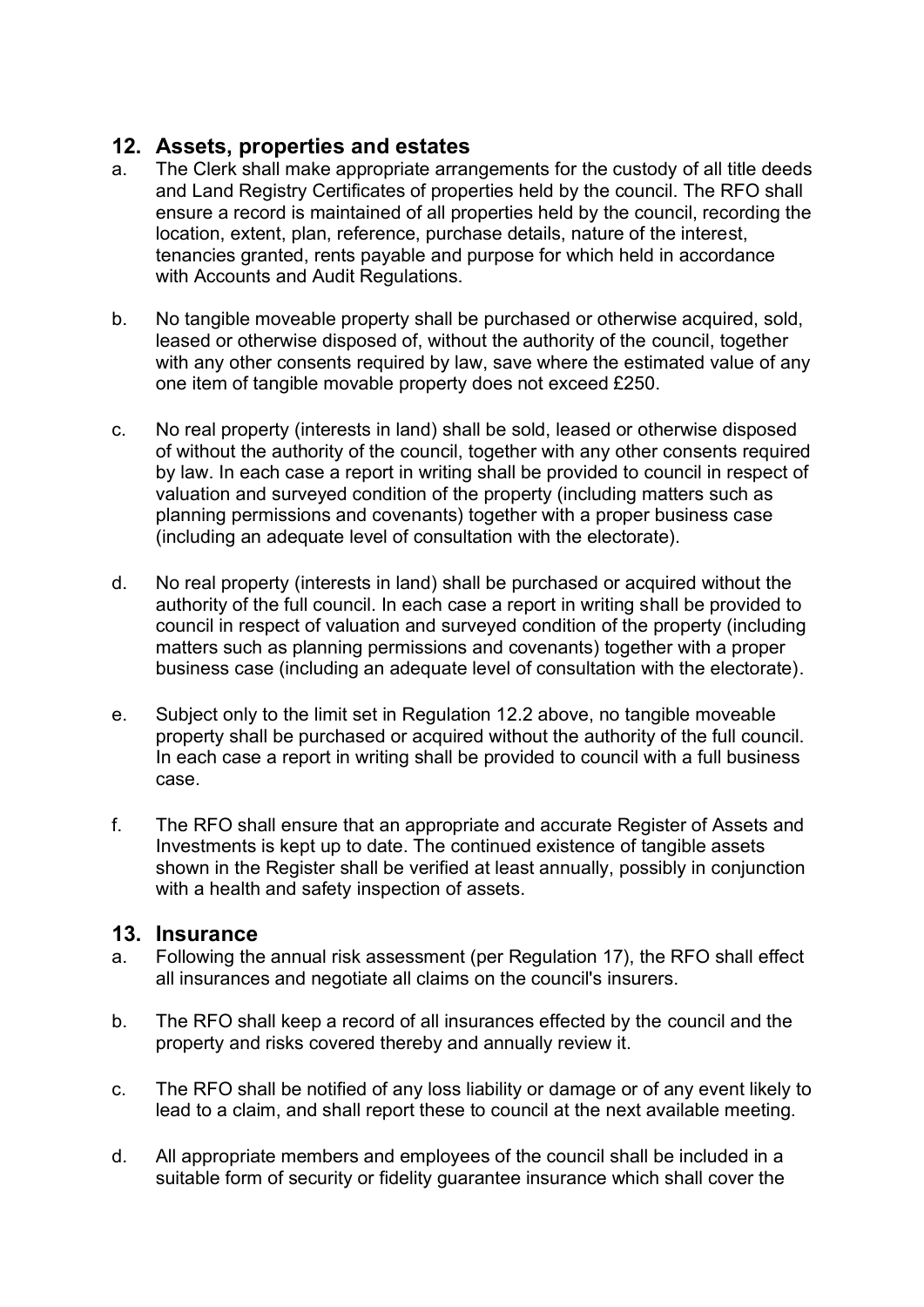# **12. Assets, properties and estates**

- a. The Clerk shall make appropriate arrangements for the custody of all title deeds and Land Registry Certificates of properties held by the council. The RFO shall ensure a record is maintained of all properties held by the council, recording the location, extent, plan, reference, purchase details, nature of the interest, tenancies granted, rents payable and purpose for which held in accordance with Accounts and Audit Regulations.
- b. No tangible moveable property shall be purchased or otherwise acquired, sold, leased or otherwise disposed of, without the authority of the council, together with any other consents required by law, save where the estimated value of any one item of tangible movable property does not exceed £250.
- c. No real property (interests in land) shall be sold, leased or otherwise disposed of without the authority of the council, together with any other consents required by law. In each case a report in writing shall be provided to council in respect of valuation and surveyed condition of the property (including matters such as planning permissions and covenants) together with a proper business case (including an adequate level of consultation with the electorate).
- d. No real property (interests in land) shall be purchased or acquired without the authority of the full council. In each case a report in writing shall be provided to council in respect of valuation and surveyed condition of the property (including matters such as planning permissions and covenants) together with a proper business case (including an adequate level of consultation with the electorate).
- e. Subject only to the limit set in Regulation 12.2 above, no tangible moveable property shall be purchased or acquired without the authority of the full council. In each case a report in writing shall be provided to council with a full business case.
- f. The RFO shall ensure that an appropriate and accurate Register of Assets and Investments is kept up to date. The continued existence of tangible assets shown in the Register shall be verified at least annually, possibly in conjunction with a health and safety inspection of assets.

## **13. Insurance**

- a. Following the annual risk assessment (per Regulation 17), the RFO shall effect all insurances and negotiate all claims on the council's insurers.
- b. The RFO shall keep a record of all insurances effected by the council and the property and risks covered thereby and annually review it.
- c. The RFO shall be notified of any loss liability or damage or of any event likely to lead to a claim, and shall report these to council at the next available meeting.
- d. All appropriate members and employees of the council shall be included in a suitable form of security or fidelity guarantee insurance which shall cover the